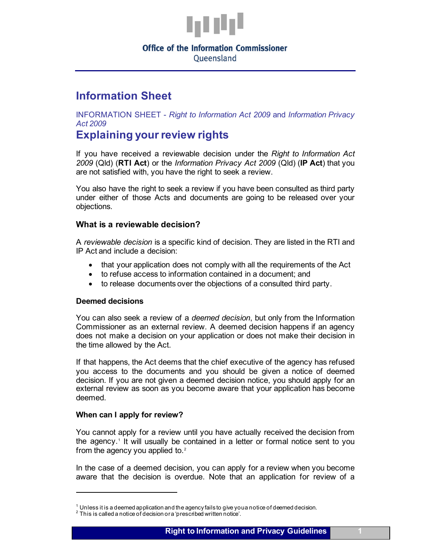

# **Office of the Information Commissioner** Oueensland

# **Information Sheet**

INFORMATION SHEET - *Right to Information Act 2009* and *Information Privacy Act 2009*

# **Explaining your review rights**

If you have received a reviewable decision under the *Right to Information Act 2009* (Qld) (**RTI Act**) or the *Information Privacy Act 2009* (Qld) (**IP Act**) that you are not satisfied with, you have the right to seek a review.

You also have the right to seek a review if you have been consulted as third party under either of those Acts and documents are going to be released over your objections.

# **What is a reviewable decision?**

A *reviewable decision* is a specific kind of decision. They are listed in the RTI and IP Act and include a decision:

- that your application does not comply with all the requirements of the Act
- to refuse access to information contained in a document; and
- to release documents over the objections of a consulted third party.

## **Deemed decisions**

You can also seek a review of a *deemed decision*, but only from the Information Commissioner as an external review. A deemed decision happens if an agency does not make a decision on your application or does not make their decision in the time allowed by the Act.

If that happens, the Act deems that the chief executive of the agency has refused you access to the documents and you should be given a notice of deemed decision. If you are not given a deemed decision notice, you should apply for an external review as soon as you become aware that your application has become deemed.

## **When can I apply for review?**

You cannot apply for a review until you have actually received the decision from the agency. [1](#page-0-0) It will usually be contained in a letter or formal notice sent to you from the agency you applied to. $2$ 

In the case of a deemed decision, you can apply for a review when you become aware that the decision is overdue. Note that an application for review of a

 $^1$  Unless it is a deemed application and the agency fails to give you a notice of deemed decision.<br><sup>2</sup> This is called a notice of decision or a 'prescribed written notice'.

<span id="page-0-1"></span><span id="page-0-0"></span>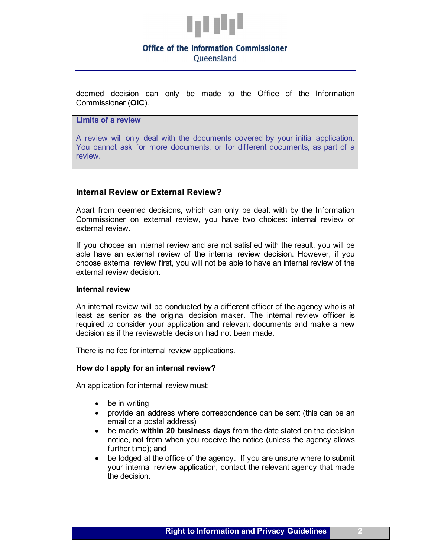

# **Office of the Information Commissioner** Oueensland

deemed decision can only be made to the Office of the Information Commissioner (**OIC**).

**Limits of a review**

A review will only deal with the documents covered by your initial application. You cannot ask for more documents, or for different documents, as part of a review.

## **Internal Review or External Review?**

Apart from deemed decisions, which can only be dealt with by the Information Commissioner on external review, you have two choices: internal review or external review.

If you choose an internal review and are not satisfied with the result, you will be able have an external review of the internal review decision. However, if you choose external review first, you will not be able to have an internal review of the external review decision.

#### **Internal review**

An internal review will be conducted by a different officer of the agency who is at least as senior as the original decision maker. The internal review officer is required to consider your application and relevant documents and make a new decision as if the reviewable decision had not been made.

There is no fee for internal review applications.

## **How do I apply for an internal review?**

An application for internal review must:

- be in writing
- provide an address where correspondence can be sent (this can be an email or a postal address)
- be made **within 20 business days** from the date stated on the decision notice, not from when you receive the notice (unless the agency allows further time); and
- be lodged at the office of the agency. If you are unsure where to submit your internal review application, contact the relevant agency that made the decision.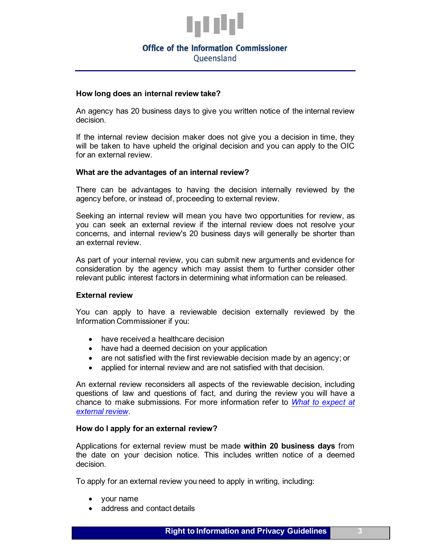

# **Office of the Information Commissioner**

Oueensland

### **How long does an internal review take?**

An agency has 20 business days to give you written notice of the internal review decision.

If the internal review decision maker does not give you a decision in time, they will be taken to have upheld the original decision and you can apply to the OIC for an external review.

## **What are the advantages of an internal review?**

There can be advantages to having the decision internally reviewed by the agency before, or instead of, proceeding to external review.

Seeking an internal review will mean you have two opportunities for review, as you can seek an external review if the internal review does not resolve your concerns, and internal review's 20 business days will generally be shorter than an external review.

As part of your internal review, you can submit new arguments and evidence for consideration by the agency which may assist them to further consider other relevant public interest factors in determining what information can be released.

## **External review**

You can apply to have a reviewable decision externally reviewed by the Information Commissioner if you:

- have received a healthcare decision
- have had a deemed decision on your application
- are not satisfied with the first reviewable decision made by an agency; or
- applied for internal review and are not satisfied with that decision.

An external review reconsiders all aspects of the reviewable decision, including questions of law and questions of fact, and during the review you will have a chance to make submissions. For more information refer to *[What to expect at](https://www.oic.qld.gov.au/guidelines/for-community-members/information-sheets-access-and-amendment/what-to-expect-at-external-review)  [external review](https://www.oic.qld.gov.au/guidelines/for-community-members/information-sheets-access-and-amendment/what-to-expect-at-external-review)*.

## **How do I apply for an external review?**

Applications for external review must be made **within 20 business days** from the date on your decision notice. This includes written notice of a deemed decision.

To apply for an external review you need to apply in writing, including:

- your name
- address and contact details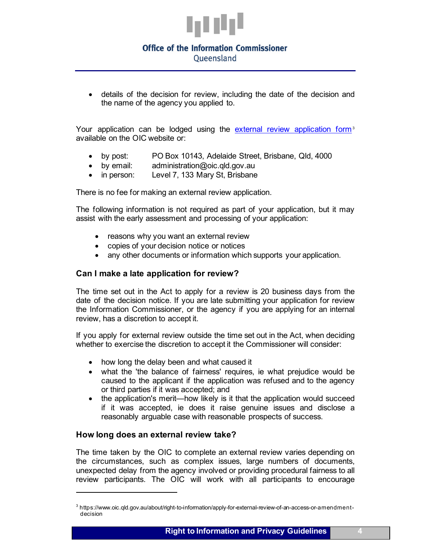

# **Office of the Information Commissioner**

Oueensland

• details of the decision for review, including the date of the decision and the name of the agency you applied to.

Your application can be lodged using the [external review application form](https://www.oic.qld.gov.au/about/right-to-information/apply-for-external-review-of-an-access-or-amendment-decision)<sup>[3](#page-3-0)</sup> available on the OIC website or:

- by post: PO Box 10143, Adelaide Street, Brisbane, Qld, 4000
- by email: [administration@oic.qld.gov.au](mailto:administration@oic.qld.gov.au)
- in person: Level 7, 133 Mary St, Brisbane

There is no fee for making an external review application.

The following information is not required as part of your application, but it may assist with the early assessment and processing of your application:

- reasons why you want an external review
- copies of your decision notice or notices
- any other documents or information which supports your application.

## **Can I make a late application for review?**

The time set out in the Act to apply for a review is 20 business days from the date of the decision notice. If you are late submitting your application for review the Information Commissioner, or the agency if you are applying for an internal review, has a discretion to accept it.

If you apply for external review outside the time set out in the Act, when deciding whether to exercise the discretion to accept it the Commissioner will consider:

- how long the delay been and what caused it
- what the 'the balance of fairness' requires, ie what prejudice would be caused to the applicant if the application was refused and to the agency or third parties if it was accepted; and
- the application's merit—how likely is it that the application would succeed if it was accepted, ie does it raise genuine issues and disclose a reasonably arguable case with reasonable prospects of success.

# **How long does an external review take?**

The time taken by the OIC to complete an external review varies depending on the circumstances, such as complex issues, large numbers of documents, unexpected delay from the agency involved or providing procedural fairness to all review participants. The OIC will work with all participants to encourage

<span id="page-3-0"></span><sup>3</sup> https://www.oic.qld.gov.au/about/right-to-information/apply-for-external-review-of-an-access-or-amendmentdecision